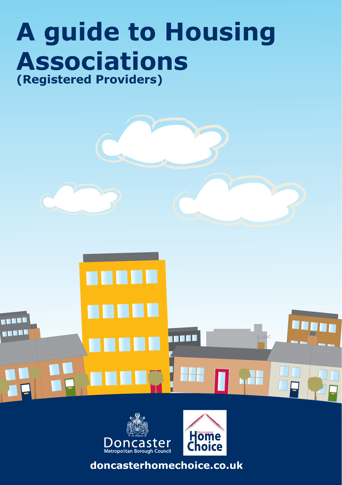# **A guide to Housing Associations (Registered Providers)**





**doncasterhomechoice.co.uk**

H<mark>om</mark>e<br>Choice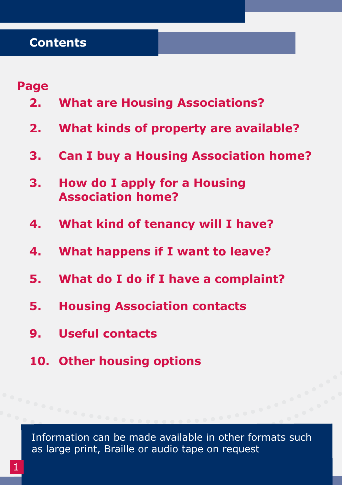### **Page**

- **2. What are Housing Associations?**
- **2. What kinds of property are available?**
- **3. Can I buy a Housing Association home?**
- **3. How do I apply for a Housing Association home?**
- **4. What kind of tenancy will I have?**
- **4. What happens if I want to leave?**
- **5. What do I do if I have a complaint?**
- **5. Housing Association contacts**
- **9. Useful contacts**
- **10. Other housing options**

Information can be made available in other formats such as large print, Braille or audio tape on request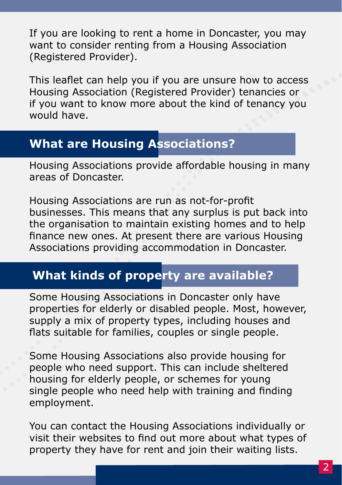If you are looking to rent a home in Doncaster, you may want to consider renting from a Housing Association (Registered Provider).

This leaflet can help you if you are unsure how to access Housing Association (Registered Provider) tenancies or if you want to know more about the kind of tenancy you would have.

### **What are Housing Associations?**

Housing Associations provide affordable housing in many areas of Doncaster.

Housing Associations are run as not-for-profit businesses. This means that any surplus is put back into the organisation to maintain existing homes and to help finance new ones. At present there are various Housing Associations providing accommodation in Doncaster.

# **What kinds of property are available?**

Some Housing Associations in Doncaster only have properties for elderly or disabled people. Most, however, supply a mix of property types, including houses and flats suitable for families, couples or single people.

Some Housing Associations also provide housing for people who need support. This can include sheltered housing for elderly people, or schemes for young single people who need help with training and finding employment.

You can contact the Housing Associations individually or visit their websites to find out more about what types of property they have for rent and join their waiting lists.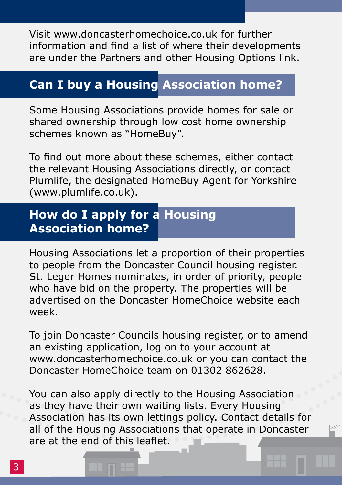Visit www.doncasterhomechoice.co.uk for further information and find a list of where their developments are under the Partners and other Housing Options link.

## **Can I buy a Housing Association home?**

Some Housing Associations provide homes for sale or shared ownership through low cost home ownership schemes known as "HomeBuy".

To find out more about these schemes, either contact the relevant Housing Associations directly, or contact Plumlife, the designated HomeBuy Agent for Yorkshire (www.plumlife.co.uk).

# **How do I apply for a Housing Association home?**

Housing Associations let a proportion of their properties to people from the Doncaster Council housing register. St. Leger Homes nominates, in order of priority, people who have bid on the property. The properties will be advertised on the Doncaster HomeChoice website each week.

To join Doncaster Councils housing register, or to amend an existing application, log on to your account at www.doncasterhomechoice.co.uk or you can contact the Doncaster HomeChoice team on 01302 862628.

You can also apply directly to the Housing Association as they have their own waiting lists. Every Housing Association has its own lettings policy. Contact details for all of the Housing Associations that operate in Doncaster are at the end of this leaflet.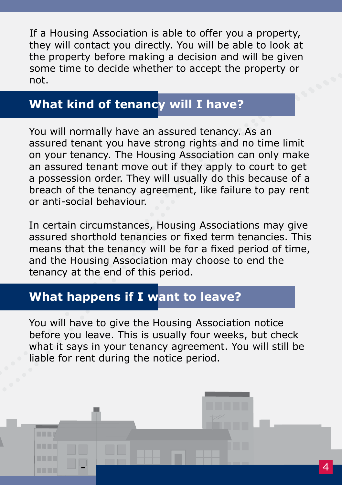If a Housing Association is able to offer you a property, they will contact you directly. You will be able to look at the property before making a decision and will be given some time to decide whether to accept the property or not.

# **What kind of tenancy will I have?**

You will normally have an assured tenancy. As an assured tenant you have strong rights and no time limit on your tenancy. The Housing Association can only make an assured tenant move out if they apply to court to get a possession order. They will usually do this because of a breach of the tenancy agreement, like failure to pay rent or anti-social behaviour.

In certain circumstances, Housing Associations may give assured shorthold tenancies or fixed term tenancies. This means that the tenancy will be for a fixed period of time, and the Housing Association may choose to end the tenancy at the end of this period.

### **What happens if I want to leave?**

You will have to give the Housing Association notice before you leave. This is usually four weeks, but check what it says in your tenancy agreement. You will still be liable for rent during the notice period.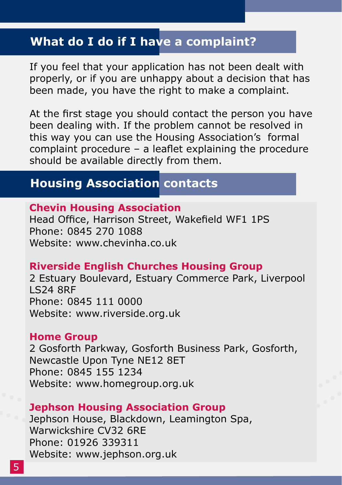### **What do I do if I have a complaint?**

If you feel that your application has not been dealt with properly, or if you are unhappy about a decision that has been made, you have the right to make a complaint.

At the first stage you should contact the person you have been dealing with. If the problem cannot be resolved in this way you can use the Housing Association's formal complaint procedure – a leaflet explaining the procedure should be available directly from them.

### **Housing Association contacts**

#### **Chevin Housing Association**

Head Office, Harrison Street, Wakefield WF1 1PS Phone: 0845 270 1088 Website: www.chevinha.co.uk

#### **Riverside English Churches Housing Group**

2 Estuary Boulevard, Estuary Commerce Park, Liverpool LS24 8RF Phone: 0845 111 0000 Website: www.riverside.org.uk

#### **Home Group**

2 Gosforth Parkway, Gosforth Business Park, Gosforth, Newcastle Upon Tyne NE12 8ET Phone: 0845 155 1234 Website: www.homegroup.org.uk

#### **Jephson Housing Association Group**

Jephson House, Blackdown, Leamington Spa, Warwickshire CV32 6RE Phone: 01926 339311 Website: www.jephson.org.uk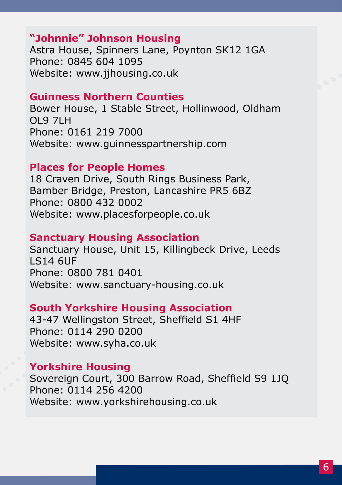#### **"Johnnie" Johnson Housing**

Astra House, Spinners Lane, Poynton SK12 1GA Phone: 0845 604 1095 Website: www.jjhousing.co.uk

#### **Guinness Northern Counties**

Bower House, 1 Stable Street, Hollinwood, Oldham OL9 7LH Phone: 0161 219 7000 Website: www.guinnesspartnership.com

#### **Places for People Homes**

18 Craven Drive, South Rings Business Park, Bamber Bridge, Preston, Lancashire PR5 6BZ Phone: 0800 432 0002 Website: www.placesforpeople.co.uk

#### **Sanctuary Housing Association**

Sanctuary House, Unit 15, Killingbeck Drive, Leeds LS14 6UF Phone: 0800 781 0401 Website: www.sanctuary-housing.co.uk

#### **South Yorkshire Housing Association**

43-47 Wellingston Street, Sheffield S1 4HF Phone: 0114 290 0200 Website: www.syha.co.uk

#### **Yorkshire Housing**

Sovereign Court, 300 Barrow Road, Sheffield S9 1JQ Phone: 0114 256 4200 Website: www.yorkshirehousing.co.uk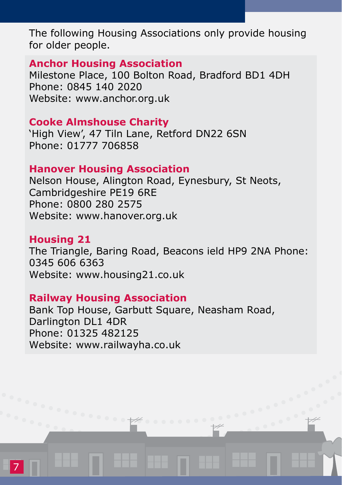The following Housing Associations only provide housing for older people.

#### **Anchor Housing Association**

Milestone Place, 100 Bolton Road, Bradford BD1 4DH Phone: 0845 140 2020 Website: www.anchor.org.uk

#### **Cooke Almshouse Charity**

'High View', 47 Tiln Lane, Retford DN22 6SN Phone: 01777 706858

#### **Hanover Housing Association**

Nelson House, Alington Road, Eynesbury, St Neots, Cambridgeshire PE19 6RE Phone: 0800 280 2575 Website: www.hanover.org.uk

#### **Housing 21**

The Triangle, Baring Road, Beacons ield HP9 2NA Phone: 0345 606 6363 Website: www.housing21.co.uk

#### **Railway Housing Association**

Bank Top House, Garbutt Square, Neasham Road, Darlington DL1 4DR Phone: 01325 482125 Website: www.railwayha.co.uk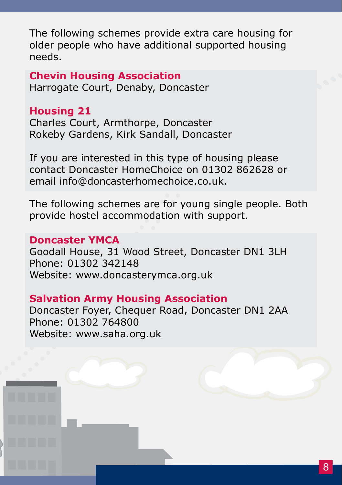The following schemes provide extra care housing for older people who have additional supported housing needs.

**Chevin Housing Association** Harrogate Court, Denaby, Doncaster

#### **Housing 21**

Charles Court, Armthorpe, Doncaster Rokeby Gardens, Kirk Sandall, Doncaster

If you are interested in this type of housing please contact Doncaster HomeChoice on 01302 862628 or email info@doncasterhomechoice.co.uk.

The following schemes are for young single people. Both provide hostel accommodation with support.

#### **Doncaster YMCA**

Goodall House, 31 Wood Street, Doncaster DN1 3LH Phone: 01302 342148 Website: www.doncasterymca.org.uk

### **Salvation Army Housing Association**

Doncaster Foyer, Chequer Road, Doncaster DN1 2AA Phone: 01302 764800 Website: www.saha.org.uk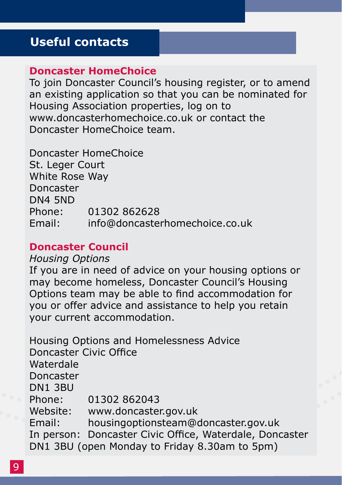### **Useful contacts**

#### **Doncaster HomeChoice**

To join Doncaster Council's housing register, or to amend an existing application so that you can be nominated for Housing Association properties, log on to www.doncasterhomechoice.co.uk or contact the Doncaster HomeChoice team.

Doncaster HomeChoice St. Leger Court White Rose Way Doncaster DN4 5ND Phone: 01302 862628 Email: info@doncasterhomechoice.co.uk

#### **Doncaster Council**

*Housing Options* 

If you are in need of advice on your housing options or may become homeless, Doncaster Council's Housing Options team may be able to find accommodation for you or offer advice and assistance to help you retain your current accommodation.

Housing Options and Homelessness Advice Doncaster Civic Office Waterdale Doncaster DN1 3BU Phone: 01302 862043 Website: www.doncaster.gov.uk Email: housingoptionsteam@doncaster.gov.uk In person: Doncaster Civic Office, Waterdale, Doncaster DN1 3BU (open Monday to Friday 8.30am to 5pm)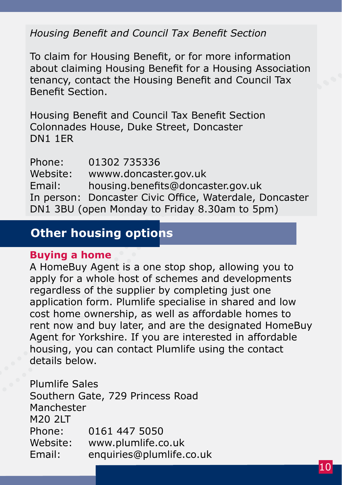#### *Housing Benefit and Council Tax Benefit Section*

To claim for Housing Benefit, or for more information about claiming Housing Benefit for a Housing Association tenancy, contact the Housing Benefit and Council Tax Benefit Section.

Housing Benefit and Council Tax Benefit Section Colonnades House, Duke Street, Doncaster DN1 1ER

Phone: 01302 735336 Website: wwww.doncaster.gov.uk Email: housing.benefits@doncaster.gov.uk In person: Doncaster Civic Office, Waterdale, Doncaster DN1 3BU (open Monday to Friday 8.30am to 5pm)

### **Other housing options**

#### **Buying a home**

A HomeBuy Agent is a one stop shop, allowing you to apply for a whole host of schemes and developments regardless of the supplier by completing just one application form. Plumlife specialise in shared and low cost home ownership, as well as affordable homes to rent now and buy later, and are the designated HomeBuy Agent for Yorkshire. If you are interested in affordable housing, you can contact Plumlife using the contact details below.

Plumlife Sales Southern Gate, 729 Princess Road Manchester M<sub>20</sub> 2LT Phone: 0161 447 5050 Website: www.plumlife.co.uk Email: enquiries@plumlife.co.uk